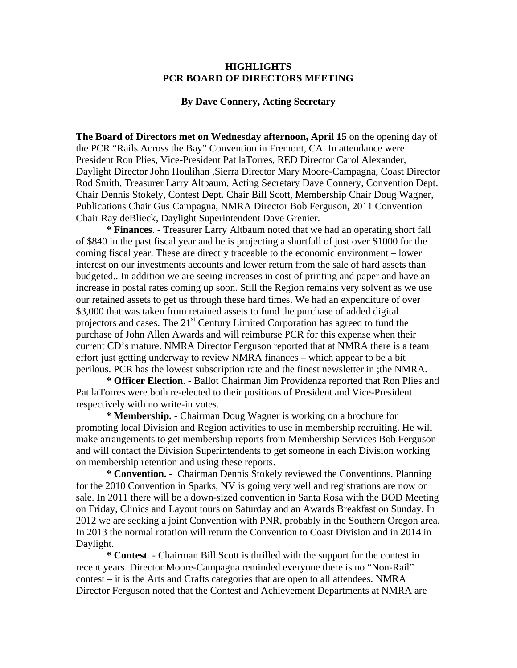## **HIGHLIGHTS PCR BOARD OF DIRECTORS MEETING**

## **By Dave Connery, Acting Secretary**

**The Board of Directors met on Wednesday afternoon, April 15** on the opening day of the PCR "Rails Across the Bay" Convention in Fremont, CA. In attendance were President Ron Plies, Vice-President Pat laTorres, RED Director Carol Alexander, Daylight Director John Houlihan ,Sierra Director Mary Moore-Campagna, Coast Director Rod Smith, Treasurer Larry Altbaum, Acting Secretary Dave Connery, Convention Dept. Chair Dennis Stokely, Contest Dept. Chair Bill Scott, Membership Chair Doug Wagner, Publications Chair Gus Campagna, NMRA Director Bob Ferguson, 2011 Convention Chair Ray deBlieck, Daylight Superintendent Dave Grenier.

 **\* Finances**. - Treasurer Larry Altbaum noted that we had an operating short fall of \$840 in the past fiscal year and he is projecting a shortfall of just over \$1000 for the coming fiscal year. These are directly traceable to the economic environment – lower interest on our investments accounts and lower return from the sale of hard assets than budgeted.. In addition we are seeing increases in cost of printing and paper and have an increase in postal rates coming up soon. Still the Region remains very solvent as we use our retained assets to get us through these hard times. We had an expenditure of over \$3,000 that was taken from retained assets to fund the purchase of added digital projectors and cases. The  $21<sup>st</sup>$  Century Limited Corporation has agreed to fund the purchase of John Allen Awards and will reimburse PCR for this expense when their current CD's mature. NMRA Director Ferguson reported that at NMRA there is a team effort just getting underway to review NMRA finances – which appear to be a bit perilous. PCR has the lowest subscription rate and the finest newsletter in ;the NMRA.

**\* Officer Election**. - Ballot Chairman Jim Providenza reported that Ron Plies and Pat laTorres were both re-elected to their positions of President and Vice-President respectively with no write-in votes.

**\* Membership. -** Chairman Doug Wagner is working on a brochure for promoting local Division and Region activities to use in membership recruiting. He will make arrangements to get membership reports from Membership Services Bob Ferguson and will contact the Division Superintendents to get someone in each Division working on membership retention and using these reports.

**\* Convention.** - Chairman Dennis Stokely reviewed the Conventions. Planning for the 2010 Convention in Sparks, NV is going very well and registrations are now on sale. In 2011 there will be a down-sized convention in Santa Rosa with the BOD Meeting on Friday, Clinics and Layout tours on Saturday and an Awards Breakfast on Sunday. In 2012 we are seeking a joint Convention with PNR, probably in the Southern Oregon area. In 2013 the normal rotation will return the Convention to Coast Division and in 2014 in Daylight.

**\* Contest** - Chairman Bill Scott is thrilled with the support for the contest in recent years. Director Moore-Campagna reminded everyone there is no "Non-Rail" contest – it is the Arts and Crafts categories that are open to all attendees. NMRA Director Ferguson noted that the Contest and Achievement Departments at NMRA are